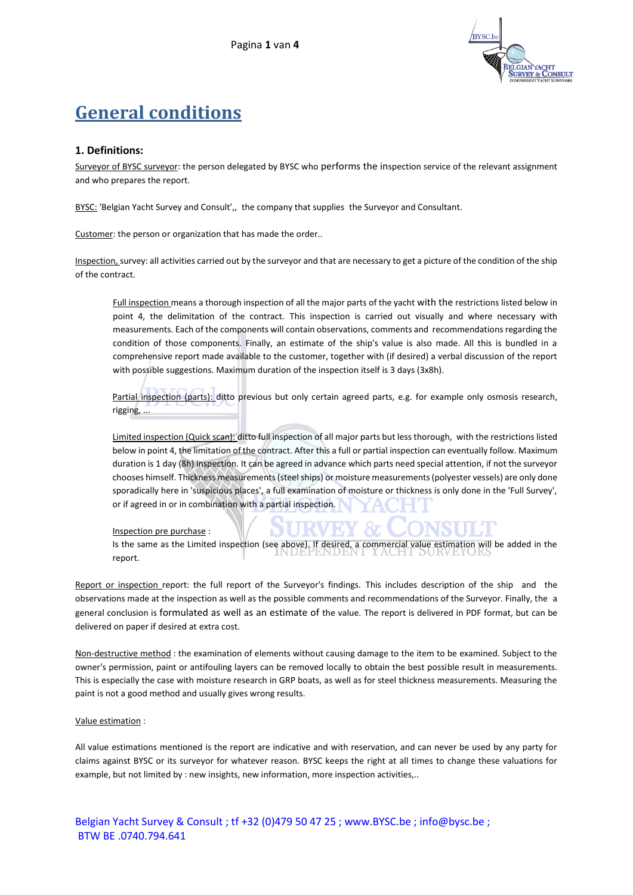

# **General conditions**

## **1. Definitions:**

Surveyor of BYSC surveyor: the person delegated by BYSC who performs the inspection service of the relevant assignment and who prepares the report.

BYSC: 'Belgian Yacht Survey and Consult',, the company that supplies the Surveyor and Consultant.

Customer: the person or organization that has made the order..

Inspection, survey: all activities carried out by the surveyor and that are necessary to get a picture of the condition of the ship of the contract.

Full inspection means a thorough inspection of all the major parts of the yacht with the restrictions listed below in point 4, the delimitation of the contract. This inspection is carried out visually and where necessary with measurements. Each of the components will contain observations, comments and recommendations regarding the condition of those components. Finally, an estimate of the ship's value is also made. All this is bundled in a comprehensive report made available to the customer, together with (if desired) a verbal discussion of the report with possible suggestions. Maximum duration of the inspection itself is 3 days (3x8h).

Partial inspection (parts): ditto previous but only certain agreed parts, e.g. for example only osmosis research, rigging, ...

Limited inspection (Quick scan): ditto full inspection of all major parts but less thorough, with the restrictions listed below in point 4, the limitation of the contract. After this a full or partial inspection can eventually follow. Maximum duration is 1 day (8h) inspection. It can be agreed in advance which parts need special attention, if not the surveyor chooses himself. Thickness measurements (steel ships) or moisture measurements (polyester vessels) are only done sporadically here in 'suspicious places', a full examination of moisture or thickness is only done in the 'Full Survey', or if agreed in or in combination with a partial inspection.

#### Inspection pre purchase :

Is the same as the Limited inspection (see above). If desired, a commercial value estimation will be added in the report.

Report or inspection report: the full report of the Surveyor's findings. This includes description of the ship and the observations made at the inspection as well as the possible comments and recommendations of the Surveyor. Finally, the a general conclusion is formulated as well as an estimate of the value. The report is delivered in PDF format, but can be delivered on paper if desired at extra cost.

Non-destructive method : the examination of elements without causing damage to the item to be examined. Subject to the owner's permission, paint or antifouling layers can be removed locally to obtain the best possible result in measurements. This is especially the case with moisture research in GRP boats, as well as for steel thickness measurements. Measuring the paint is not a good method and usually gives wrong results.

#### Value estimation :

All value estimations mentioned is the report are indicative and with reservation, and can never be used by any party for claims against BYSC or its surveyor for whatever reason. BYSC keeps the right at all times to change these valuations for example, but not limited by : new insights, new information, more inspection activities,..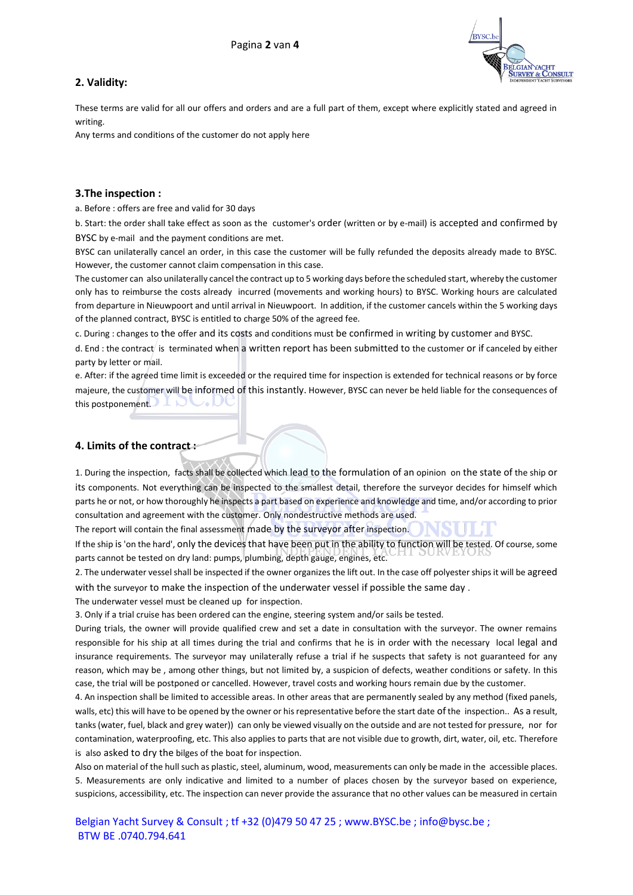# **2. Validity:**



These terms are valid for all our offers and orders and are a full part of them, except where explicitly stated and agreed in writing.

Any terms and conditions of the customer do not apply here

#### **3.The inspection :**

a. Before : offers are free and valid for 30 days

b. Start: the order shall take effect as soon as the customer's order (written or by e-mail) is accepted and confirmed by BYSC by e-mail and the payment conditions are met.

BYSC can unilaterally cancel an order, in this case the customer will be fully refunded the deposits already made to BYSC. However, the customer cannot claim compensation in this case.

The customer can also unilaterally cancel the contract up to 5 working days before the scheduled start, whereby the customer only has to reimburse the costs already incurred (movements and working hours) to BYSC. Working hours are calculated from departure in Nieuwpoort and until arrival in Nieuwpoort. In addition, if the customer cancels within the 5 working days of the planned contract, BYSC is entitled to charge 50% of the agreed fee.

c. During : changes to the offer and its costs and conditions must be confirmed in writing by customer and BYSC.

d. End : the contract is terminated when a written report has been submitted to the customer or if canceled by either party by letter or mail.

e. After: if the agreed time limit is exceeded or the required time for inspection is extended for technical reasons or by force majeure, the customer will be informed of this instantly. However, BYSC can never be held liable for the consequences of this postponement.

## **4. Limits of the contract :**

1. During the inspection, facts shall be collected which lead to the formulation of an opinion on the state of the ship or its components. Not everything can be inspected to the smallest detail, therefore the surveyor decides for himself which parts he or not, or how thoroughly he inspects a part based on experience and knowledge and time, and/or according to prior consultation and agreement with the customer. Only nondestructive methods are used.

The report will contain the final assessment made by the surveyor after inspection.

If the ship is'on the hard', only the devices that have been put in the ability to function will be tested. Of course, some parts cannot be tested on dry land: pumps, plumbing, depth gauge, engines, etc.

2. The underwater vessel shall be inspected if the owner organizes the lift out. In the case off polyester ships it will be agreed with the surveyor to make the inspection of the underwater vessel if possible the same day .

The underwater vessel must be cleaned up for inspection.

3. Only if a trial cruise has been ordered can the engine, steering system and/or sails be tested.

During trials, the owner will provide qualified crew and set a date in consultation with the surveyor. The owner remains responsible for his ship at all times during the trial and confirms that he is in order with the necessary local legal and insurance requirements. The surveyor may unilaterally refuse a trial if he suspects that safety is not guaranteed for any reason, which may be , among other things, but not limited by, a suspicion of defects, weather conditions or safety. In this case, the trial will be postponed or cancelled. However, travel costs and working hours remain due by the customer.

4. An inspection shall be limited to accessible areas. In other areas that are permanently sealed by any method (fixed panels, walls, etc) this will have to be opened by the owner or his representative before the start date of the inspection.. As a result, tanks (water, fuel, black and grey water)) can only be viewed visually on the outside and are not tested for pressure, nor for contamination, waterproofing, etc. This also applies to parts that are not visible due to growth, dirt, water, oil, etc. Therefore is also asked to dry the bilges of the boat for inspection.

Also on material of the hull such as plastic, steel, aluminum, wood, measurements can only be made in the accessible places. 5. Measurements are only indicative and limited to a number of places chosen by the surveyor based on experience, suspicions, accessibility, etc. The inspection can never provide the assurance that no other values can be measured in certain

Belgian Yacht Survey & Consult ; tf +32 (0)479 50 47 25 ; [www.BYSC.be](http://www.bysc.be/) [; info@bysc.be](mailto:info@bysc.be) ; BTW BE .0740.794.641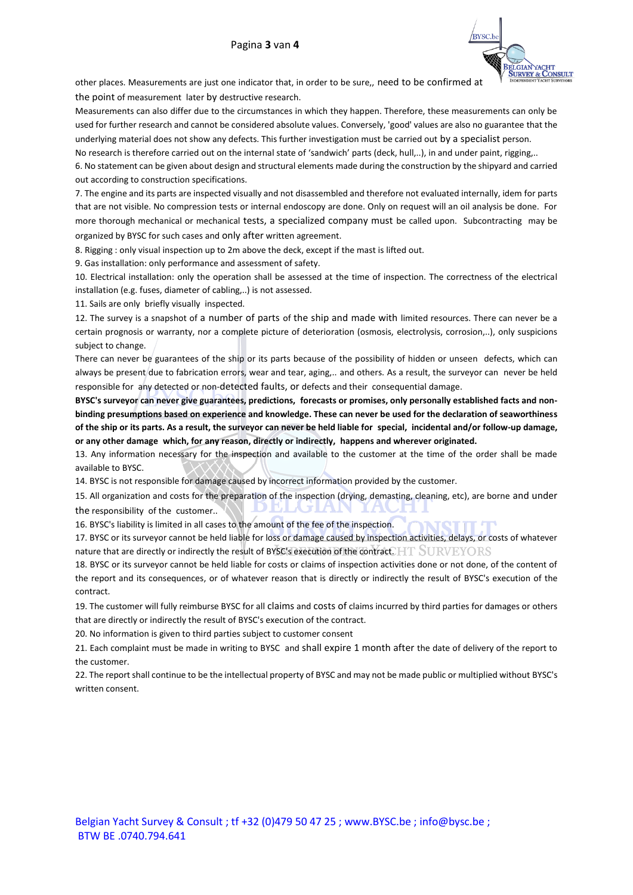

other places. Measurements are just one indicator that, in order to be sure,, need to be confirmed at the point of measurement later by destructive research.

Measurements can also differ due to the circumstances in which they happen. Therefore, these measurements can only be used for further research and cannot be considered absolute values. Conversely, 'good' values are also no guarantee that the underlying material does not show any defects. This further investigation must be carried out by a specialist person.

No research is therefore carried out on the internal state of 'sandwich' parts (deck, hull,..), in and under paint, rigging,..

6. No statement can be given about design and structural elements made during the construction by the shipyard and carried out according to construction specifications.

7. The engine and its parts are inspected visually and not disassembled and therefore not evaluated internally, idem for parts that are not visible. No compression tests or internal endoscopy are done. Only on request will an oil analysis be done. For more thorough mechanical or mechanical tests, a specialized company must be called upon. Subcontracting may be organized by BYSC for such cases and only after written agreement.

8. Rigging : only visual inspection up to 2m above the deck, except if the mast is lifted out.

9. Gas installation: only performance and assessment of safety.

10. Electrical installation: only the operation shall be assessed at the time of inspection. The correctness of the electrical installation (e.g. fuses, diameter of cabling,..) is not assessed.

11. Sails are only briefly visually inspected.

12. The survey is a snapshot of a number of parts of the ship and made with limited resources. There can never be a certain prognosis or warranty, nor a complete picture of deterioration (osmosis, electrolysis, corrosion,..), only suspicions subject to change.

There can never be guarantees of the ship or its parts because of the possibility of hidden or unseen defects, which can always be present due to fabrication errors, wear and tear, aging,.. and others. As a result, the surveyor can never be held responsible for any detected or non-detected faults, or defects and their consequential damage.

**BYSC's surveyor can never give guarantees, predictions, forecasts or promises, only personally established facts and nonbinding presumptions based on experience and knowledge. These can never be used for the declaration of seaworthiness of the ship or its parts. As a result, the surveyor can never be held liable for special, incidental and/or follow-up damage, or any other damage which, for any reason, directly or indirectly, happens and wherever originated.**

13. Any information necessary for the inspection and available to the customer at the time of the order shall be made available to BYSC.

14. BYSC is not responsible for damage caused by incorrect information provided by the customer.

15. All organization and costs for the preparation of the inspection (drying, demasting, cleaning, etc), are borne and under the responsibility of the customer.. тU

16. BYSC's liability is limited in all cases to the amount of the fee of the inspection.

17. BYSC or its surveyor cannot be held liable for loss or damage caused by inspection activities, delays, or costs of whatever nature that are directly or indirectly the result of BYSC's execution of the contract.  $HT$  SURVEYORS

18. BYSC or its surveyor cannot be held liable for costs or claims of inspection activities done or not done, of the content of the report and its consequences, or of whatever reason that is directly or indirectly the result of BYSC's execution of the contract.

19. The customer will fully reimburse BYSC for all claims and costs of claims incurred by third parties for damages or others that are directly or indirectly the result of BYSC's execution of the contract.

20. No information is given to third parties subject to customer consent

21. Each complaint must be made in writing to BYSC and shall expire 1 month after the date of delivery of the report to the customer.

22. The report shall continue to be the intellectual property of BYSC and may not be made public or multiplied without BYSC's written consent.